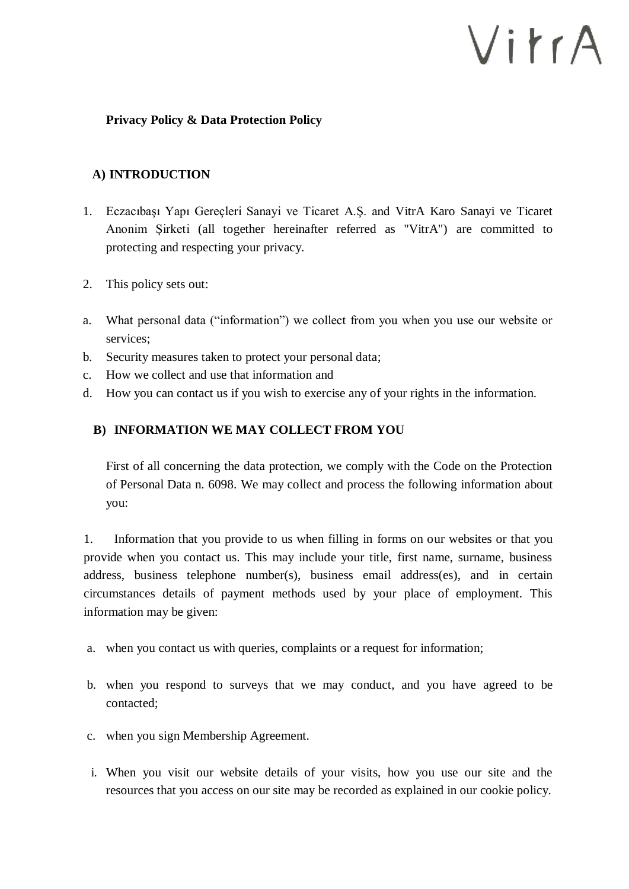# VitrA

#### **Privacy Policy & Data Protection Policy**

# **A) INTRODUCTION**

- 1. Eczacıbaşı Yapı Gereçleri Sanayi ve Ticaret A.Ş. and VitrA Karo Sanayi ve Ticaret Anonim Şirketi (all together hereinafter referred as "VitrA") are committed to protecting and respecting your privacy.
- 2. This policy sets out:
- a. What personal data ("information") we collect from you when you use our website or services;
- b. Security measures taken to protect your personal data;
- c. How we collect and use that information and
- d. How you can contact us if you wish to exercise any of your rights in the information.

## **B) INFORMATION WE MAY COLLECT FROM YOU**

First of all concerning the data protection, we comply with the Code on the Protection of Personal Data n. 6098. We may collect and process the following information about you:

1. Information that you provide to us when filling in forms on our websites or that you provide when you contact us. This may include your title, first name, surname, business address, business telephone number(s), business email address(es), and in certain circumstances details of payment methods used by your place of employment. This information may be given:

- a. when you contact us with queries, complaints or a request for information;
- b. when you respond to surveys that we may conduct, and you have agreed to be contacted;
- c. when you sign Membership Agreement.
- i. When you visit our website details of your visits, how you use our site and the resources that you access on our site may be recorded as explained in our cookie policy.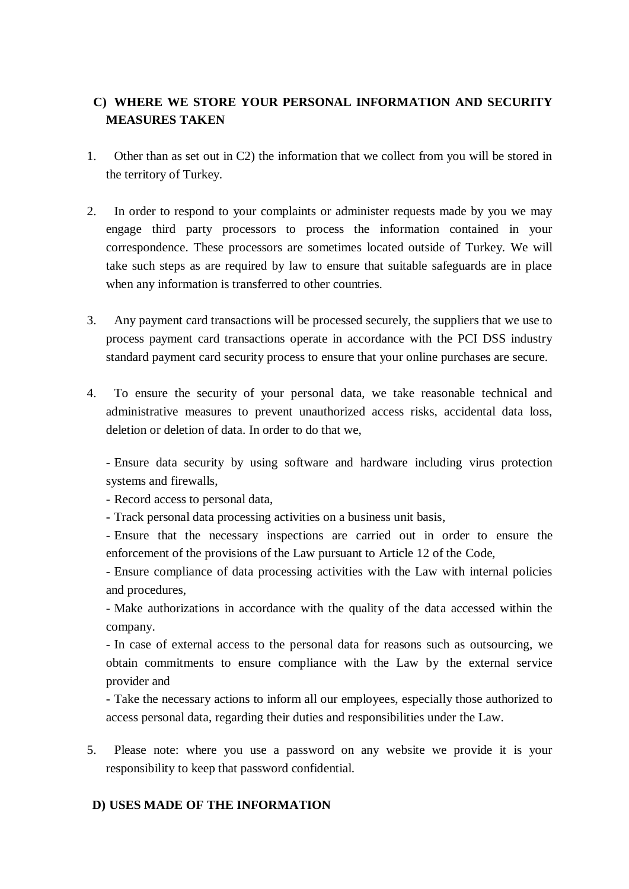# **C) WHERE WE STORE YOUR PERSONAL INFORMATION AND SECURITY MEASURES TAKEN**

- 1. Other than as set out in C2) the information that we collect from you will be stored in the territory of Turkey.
- 2. In order to respond to your complaints or administer requests made by you we may engage third party processors to process the information contained in your correspondence. These processors are sometimes located outside of Turkey. We will take such steps as are required by law to ensure that suitable safeguards are in place when any information is transferred to other countries.
- 3. Any payment card transactions will be processed securely, the suppliers that we use to process payment card transactions operate in accordance with the PCI DSS industry standard payment card security process to ensure that your online purchases are secure.
- 4. To ensure the security of your personal data, we take reasonable technical and administrative measures to prevent unauthorized access risks, accidental data loss, deletion or deletion of data. In order to do that we,

- Ensure data security by using software and hardware including virus protection systems and firewalls,

- Record access to personal data,

- Track personal data processing activities on a business unit basis,

- Ensure that the necessary inspections are carried out in order to ensure the enforcement of the provisions of the Law pursuant to Article 12 of the Code,

- Ensure compliance of data processing activities with the Law with internal policies and procedures,

- Make authorizations in accordance with the quality of the data accessed within the company.

- In case of external access to the personal data for reasons such as outsourcing, we obtain commitments to ensure compliance with the Law by the external service provider and

- Take the necessary actions to inform all our employees, especially those authorized to access personal data, regarding their duties and responsibilities under the Law.

5. Please note: where you use a password on any website we provide it is your responsibility to keep that password confidential.

# **D) USES MADE OF THE INFORMATION**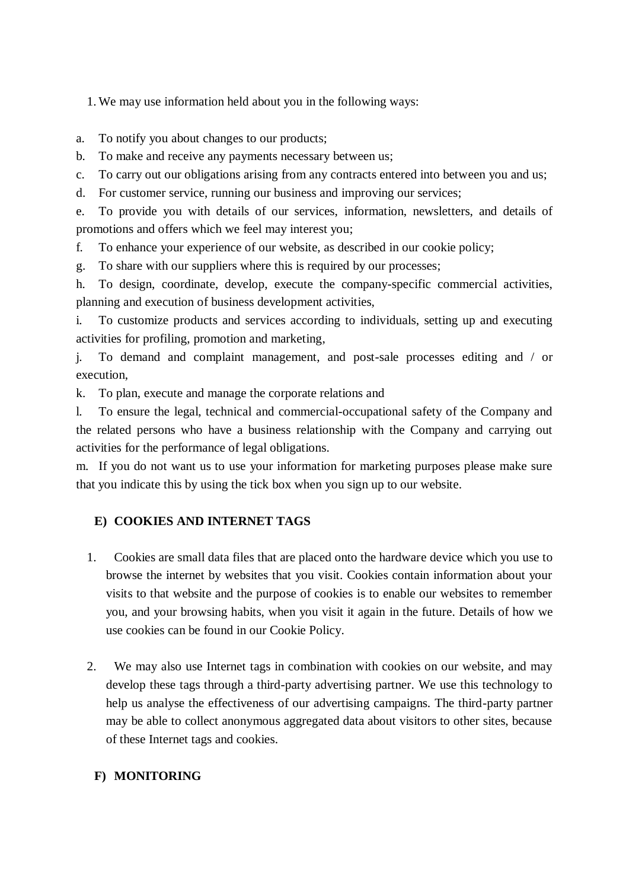1. We may use information held about you in the following ways:

a. To notify you about changes to our products;

b. To make and receive any payments necessary between us;

c. To carry out our obligations arising from any contracts entered into between you and us;

d. For customer service, running our business and improving our services;

e. To provide you with details of our services, information, newsletters, and details of promotions and offers which we feel may interest you;

f. To enhance your experience of our website, as described in our cookie policy;

g. To share with our suppliers where this is required by our processes;

h. To design, coordinate, develop, execute the company-specific commercial activities, planning and execution of business development activities,

i. To customize products and services according to individuals, setting up and executing activities for profiling, promotion and marketing,

j. To demand and complaint management, and post-sale processes editing and / or execution,

k. To plan, execute and manage the corporate relations and

l. To ensure the legal, technical and commercial-occupational safety of the Company and the related persons who have a business relationship with the Company and carrying out activities for the performance of legal obligations.

m. If you do not want us to use your information for marketing purposes please make sure that you indicate this by using the tick box when you sign up to our website.

## **E) COOKIES AND INTERNET TAGS**

- 1. Cookies are small data files that are placed onto the hardware device which you use to browse the internet by websites that you visit. Cookies contain information about your visits to that website and the purpose of cookies is to enable our websites to remember you, and your browsing habits, when you visit it again in the future. Details of how we use cookies can be found in our Cookie Policy.
- 2. We may also use Internet tags in combination with cookies on our website, and may develop these tags through a third-party advertising partner. We use this technology to help us analyse the effectiveness of our advertising campaigns. The third-party partner may be able to collect anonymous aggregated data about visitors to other sites, because of these Internet tags and cookies.

#### **F) MONITORING**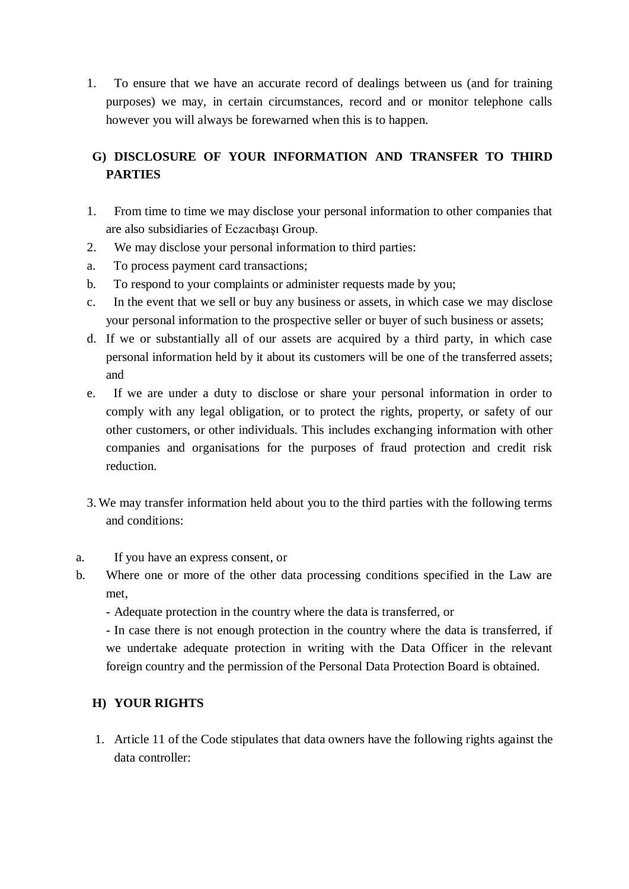1. To ensure that we have an accurate record of dealings between us (and for training purposes) we may, in certain circumstances, record and or monitor telephone calls however you will always be forewarned when this is to happen.

# **G) DISCLOSURE OF YOUR INFORMATION AND TRANSFER TO THIRD PARTIES**

- 1. From time to time we may disclose your personal information to other companies that are also subsidiaries of Eczacıbaşı Group.
- 2. We may disclose your personal information to third parties:
- a. To process payment card transactions;
- b. To respond to your complaints or administer requests made by you;
- c. In the event that we sell or buy any business or assets, in which case we may disclose your personal information to the prospective seller or buyer of such business or assets;
- d. If we or substantially all of our assets are acquired by a third party, in which case personal information held by it about its customers will be one of the transferred assets; and
- e. If we are under a duty to disclose or share your personal information in order to comply with any legal obligation, or to protect the rights, property, or safety of our other customers, or other individuals. This includes exchanging information with other companies and organisations for the purposes of fraud protection and credit risk reduction.
- 3. We may transfer information held about you to the third parties with the following terms and conditions:
- a. If you have an express consent, or
- b. Where one or more of the other data processing conditions specified in the Law are met,
	- Adequate protection in the country where the data is transferred, or

- In case there is not enough protection in the country where the data is transferred, if we undertake adequate protection in writing with the Data Officer in the relevant foreign country and the permission of the Personal Data Protection Board is obtained.

# **H) YOUR RIGHTS**

1. Article 11 of the Code stipulates that data owners have the following rights against the data controller: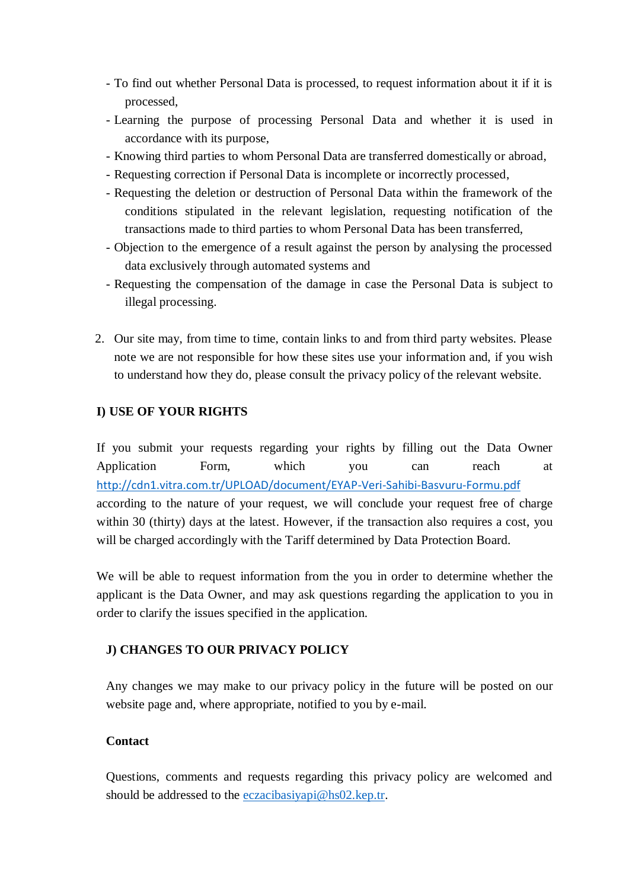- To find out whether Personal Data is processed, to request information about it if it is processed,
- Learning the purpose of processing Personal Data and whether it is used in accordance with its purpose,
- Knowing third parties to whom Personal Data are transferred domestically or abroad,
- Requesting correction if Personal Data is incomplete or incorrectly processed,
- Requesting the deletion or destruction of Personal Data within the framework of the conditions stipulated in the relevant legislation, requesting notification of the transactions made to third parties to whom Personal Data has been transferred,
- Objection to the emergence of a result against the person by analysing the processed data exclusively through automated systems and
- Requesting the compensation of the damage in case the Personal Data is subject to illegal processing.
- 2. Our site may, from time to time, contain links to and from third party websites. Please note we are not responsible for how these sites use your information and, if you wish to understand how they do, please consult the privacy policy of the relevant website.

# **I) USE OF YOUR RIGHTS**

If you submit your requests regarding your rights by filling out the Data Owner Application Form, which you can reach at <http://cdn1.vitra.com.tr/UPLOAD/document/EYAP-Veri-Sahibi-Basvuru-Formu.pdf> according to the nature of your request, we will conclude your request free of charge within 30 (thirty) days at the latest. However, if the transaction also requires a cost, you will be charged accordingly with the Tariff determined by Data Protection Board.

We will be able to request information from the you in order to determine whether the applicant is the Data Owner, and may ask questions regarding the application to you in order to clarify the issues specified in the application.

# **J) CHANGES TO OUR PRIVACY POLICY**

Any changes we may make to our privacy policy in the future will be posted on our website page and, where appropriate, notified to you by e-mail.

## **Contact**

Questions, comments and requests regarding this privacy policy are welcomed and should be addressed to the [eczacibasiyapi@hs02.kep.tr.](mailto:eczacibasiyapi@hs02.kep.tr)